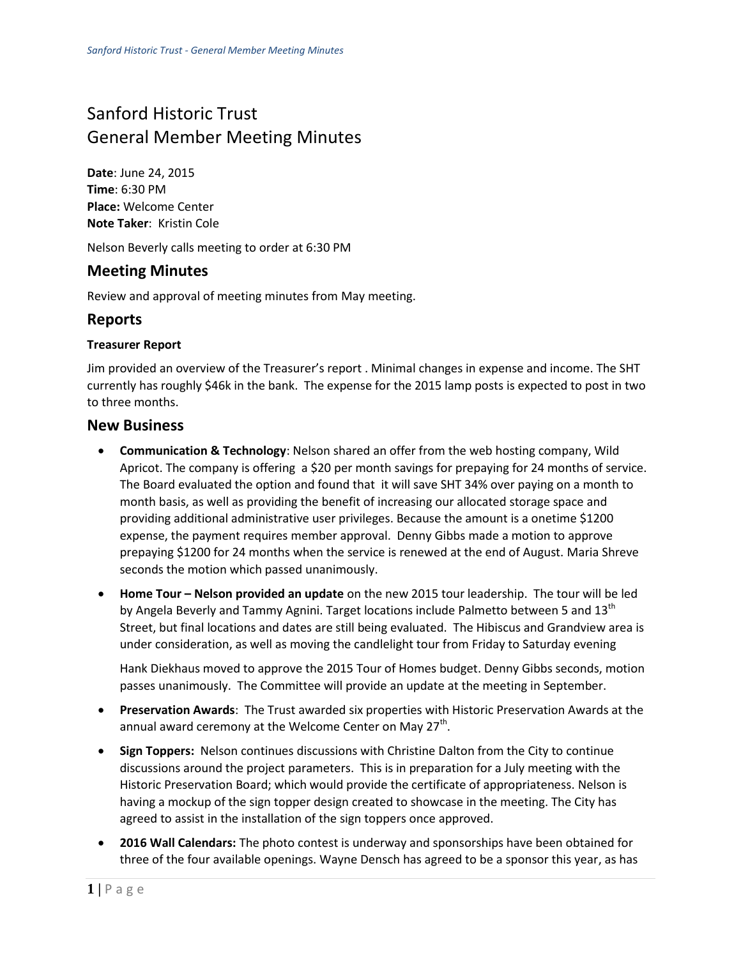# Sanford Historic Trust General Member Meeting Minutes

**Date**: June 24, 2015 **Time**: 6:30 PM **Place:** Welcome Center **Note Taker**: Kristin Cole

Nelson Beverly calls meeting to order at 6:30 PM

## **Meeting Minutes**

Review and approval of meeting minutes from May meeting.

### **Reports**

#### **Treasurer Report**

Jim provided an overview of the Treasurer's report . Minimal changes in expense and income. The SHT currently has roughly \$46k in the bank. The expense for the 2015 lamp posts is expected to post in two to three months.

#### **New Business**

- **Communication & Technology**: Nelson shared an offer from the web hosting company, Wild Apricot. The company is offering a \$20 per month savings for prepaying for 24 months of service. The Board evaluated the option and found that it will save SHT 34% over paying on a month to month basis, as well as providing the benefit of increasing our allocated storage space and providing additional administrative user privileges. Because the amount is a onetime \$1200 expense, the payment requires member approval. Denny Gibbs made a motion to approve prepaying \$1200 for 24 months when the service is renewed at the end of August. Maria Shreve seconds the motion which passed unanimously.
- **Home Tour Nelson provided an update** on the new 2015 tour leadership. The tour will be led by Angela Beverly and Tammy Agnini. Target locations include Palmetto between 5 and 13<sup>th</sup> Street, but final locations and dates are still being evaluated. The Hibiscus and Grandview area is under consideration, as well as moving the candlelight tour from Friday to Saturday evening

Hank Diekhaus moved to approve the 2015 Tour of Homes budget. Denny Gibbs seconds, motion passes unanimously. The Committee will provide an update at the meeting in September.

- **Preservation Awards**: The Trust awarded six properties with Historic Preservation Awards at the annual award ceremony at the Welcome Center on May 27<sup>th</sup>.
- **Sign Toppers:** Nelson continues discussions with Christine Dalton from the City to continue discussions around the project parameters. This is in preparation for a July meeting with the Historic Preservation Board; which would provide the certificate of appropriateness. Nelson is having a mockup of the sign topper design created to showcase in the meeting. The City has agreed to assist in the installation of the sign toppers once approved.
- **2016 Wall Calendars:** The photo contest is underway and sponsorships have been obtained for three of the four available openings. Wayne Densch has agreed to be a sponsor this year, as has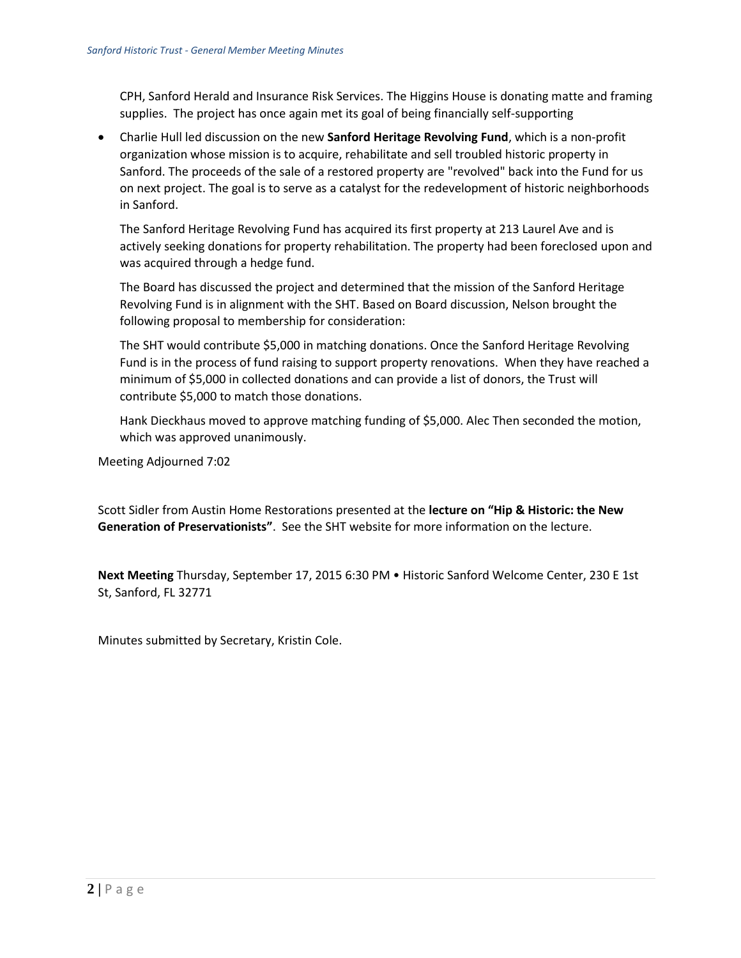CPH, Sanford Herald and Insurance Risk Services. The Higgins House is donating matte and framing supplies. The project has once again met its goal of being financially self-supporting

 Charlie Hull led discussion on the new **Sanford Heritage Revolving Fund**, which is a non-profit organization whose mission is to acquire, rehabilitate and sell troubled historic property in Sanford. The proceeds of the sale of a restored property are "revolved" back into the Fund for us on next project. The goal is to serve as a catalyst for the redevelopment of historic neighborhoods in Sanford.

The Sanford Heritage Revolving Fund has acquired its first property at 213 Laurel Ave and is actively seeking donations for property rehabilitation. The property had been foreclosed upon and was acquired through a hedge fund.

The Board has discussed the project and determined that the mission of the Sanford Heritage Revolving Fund is in alignment with the SHT. Based on Board discussion, Nelson brought the following proposal to membership for consideration:

The SHT would contribute \$5,000 in matching donations. Once the Sanford Heritage Revolving Fund is in the process of fund raising to support property renovations. When they have reached a minimum of \$5,000 in collected donations and can provide a list of donors, the Trust will contribute \$5,000 to match those donations.

Hank Dieckhaus moved to approve matching funding of \$5,000. Alec Then seconded the motion, which was approved unanimously.

Meeting Adjourned 7:02

Scott Sidler from Austin Home Restorations presented at the **lecture on "Hip & Historic: the New Generation of Preservationists"**. See the SHT website for more information on the lecture.

**Next Meeting** Thursday, September 17, 2015 6:30 PM • Historic Sanford Welcome Center, 230 E 1st St, Sanford, FL 32771

Minutes submitted by Secretary, Kristin Cole.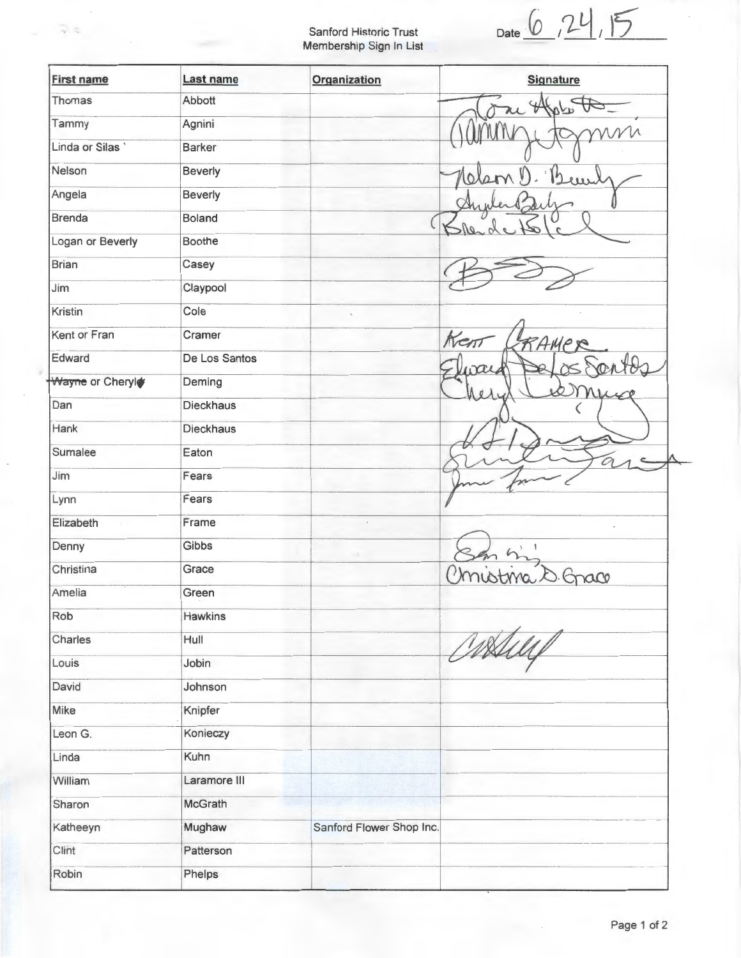Sanford Historic Trust Membership Sign In List

 $\overline{\psi}$ ,  $\overline{\psi}$ 

 $Date$   $6$   $, 24$  ,  $15$ 

| <b>First name</b> | Last name        | <b>Organization</b>      | <b>Signature</b> |
|-------------------|------------------|--------------------------|------------------|
| Thomas            | Abbott           |                          |                  |
| Tammy             | Agnini           |                          |                  |
| Linda or Silas    | <b>Barker</b>    |                          |                  |
| Nelson            | <b>Beverly</b>   |                          |                  |
| Angela            | Beverly          |                          |                  |
| <b>Brenda</b>     | <b>Boland</b>    |                          |                  |
| Logan or Beverly  | <b>Boothe</b>    |                          |                  |
| <b>Brian</b>      | Casey            |                          |                  |
| Jim               | Claypool         |                          |                  |
| Kristin           | Cole             |                          |                  |
| Kent or Fran      | Cramer           |                          | Kent<br>RAMP     |
| Edward            | De Los Santos    |                          |                  |
| Wayne or Cheryl   | Deming           |                          | Âσ               |
| Dan               | <b>Dieckhaus</b> |                          |                  |
| Hank              | <b>Dieckhaus</b> |                          |                  |
| Sumalee           | Eaton            |                          | 0                |
| Jim               | Fears            |                          |                  |
| Lynn              | Fears            |                          |                  |
| Elizabeth         | Frame            |                          |                  |
| Denny             | Gibbs            |                          |                  |
| Christina         | Grace            |                          | 300              |
| Amelia            | Green            |                          |                  |
| Rob               | Hawkins          |                          |                  |
| Charles           | Hull             |                          | astur            |
| Louis             | Jobin            |                          |                  |
| David             | Johnson          |                          |                  |
| Mike              | Knipfer          |                          |                  |
| Leon G.           | Konieczy         |                          |                  |
| Linda             | Kuhn             |                          |                  |
| William           | Laramore III     |                          |                  |
| Sharon            | McGrath          |                          |                  |
| Katheeyn          | Mughaw           | Sanford Flower Shop Inc. |                  |
| Clint             | Patterson        |                          |                  |
| Robin             | Phelps           |                          |                  |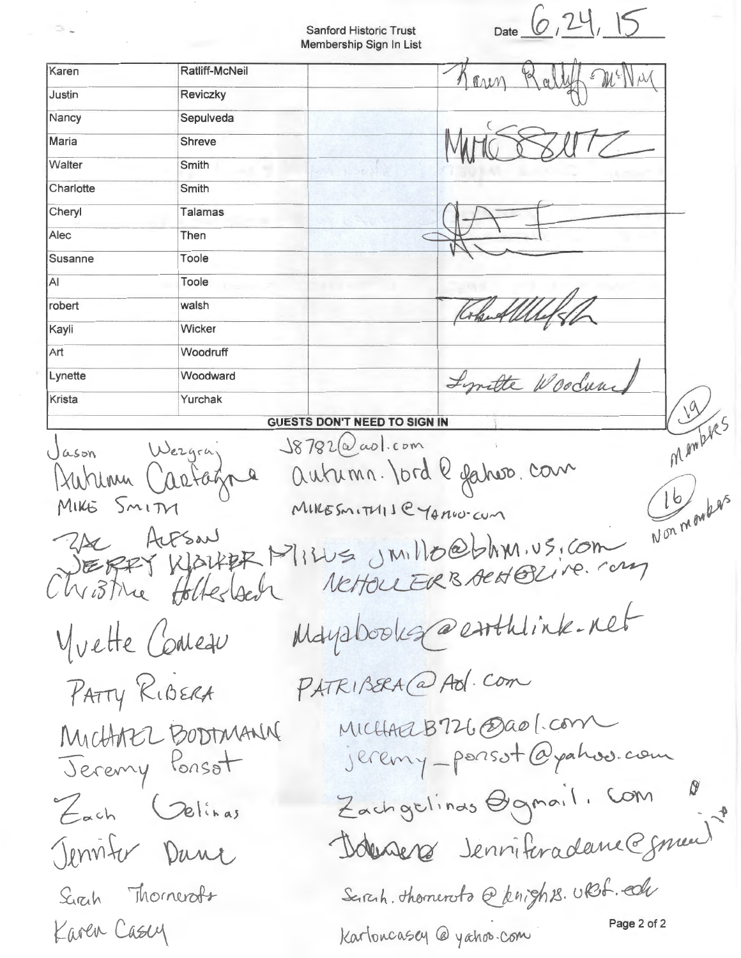Sanford Historic Trust Membership Sign In List

 $\Rightarrow$ 

 $\alpha$ 

Date  $6, 24, 15$ 

|                                                                                                                 |                                                         | <b>INICITION OTHE OIST ITT LIST</b> |  |  |
|-----------------------------------------------------------------------------------------------------------------|---------------------------------------------------------|-------------------------------------|--|--|
| Karen                                                                                                           | Ratliff-McNeil                                          | $\mathbb{R}$                        |  |  |
| Justin                                                                                                          | <b>Reviczky</b>                                         |                                     |  |  |
| Nancy                                                                                                           | Sepulveda                                               |                                     |  |  |
| Maria                                                                                                           | Shreve                                                  |                                     |  |  |
| Walter                                                                                                          | Smith                                                   |                                     |  |  |
| Charlotte                                                                                                       | Smith                                                   |                                     |  |  |
| Cheryl                                                                                                          | <b>Talamas</b>                                          |                                     |  |  |
| Alec                                                                                                            | Then                                                    |                                     |  |  |
| Susanne                                                                                                         | Toole                                                   |                                     |  |  |
| AI                                                                                                              | Toole                                                   |                                     |  |  |
| robert                                                                                                          | walsh                                                   |                                     |  |  |
| Kayli                                                                                                           | Wicker                                                  |                                     |  |  |
| Art                                                                                                             | Woodruff                                                |                                     |  |  |
| Lynette                                                                                                         | Woodward                                                | Lyntte Woodun                       |  |  |
| Krista                                                                                                          | Yurchak                                                 |                                     |  |  |
| Membres<br><b>GUESTS DON'T NEED TO SIGN IN</b><br>$J8782(\omega)$ aol.com                                       |                                                         |                                     |  |  |
| autumn. Jord le gature. com<br>Jurian<br>Non moules<br>MIRESMITHIJE YAMO-CUM<br>MIKE SMITH                      |                                                         |                                     |  |  |
|                                                                                                                 | ALESAN<br>Christine Holtestech                          | KlarkER Milles JMillo@bhm.vs.com    |  |  |
| Mayabookg@enthlink.net<br>Yvette Concau                                                                         |                                                         |                                     |  |  |
| PATRIBERA (a) Adl. Com<br>PATTY RIBERA                                                                          |                                                         |                                     |  |  |
| MICHARLB726 @ao [.com<br>jeremy-porsot@pahoo.com<br>Michter Bortmann<br>Zachgelinas Ogmail. Com<br>Each Jelinas |                                                         |                                     |  |  |
| Donners Jenniferadame@gnaul"<br>Jenviter Dance                                                                  |                                                         |                                     |  |  |
|                                                                                                                 | Seirch. thomeroto @knights. URS. edu<br>Sirch Thomerofs |                                     |  |  |
| Page 2 of 2<br>Karen Casey<br>Kartoncasey @ yahoo.com                                                           |                                                         |                                     |  |  |